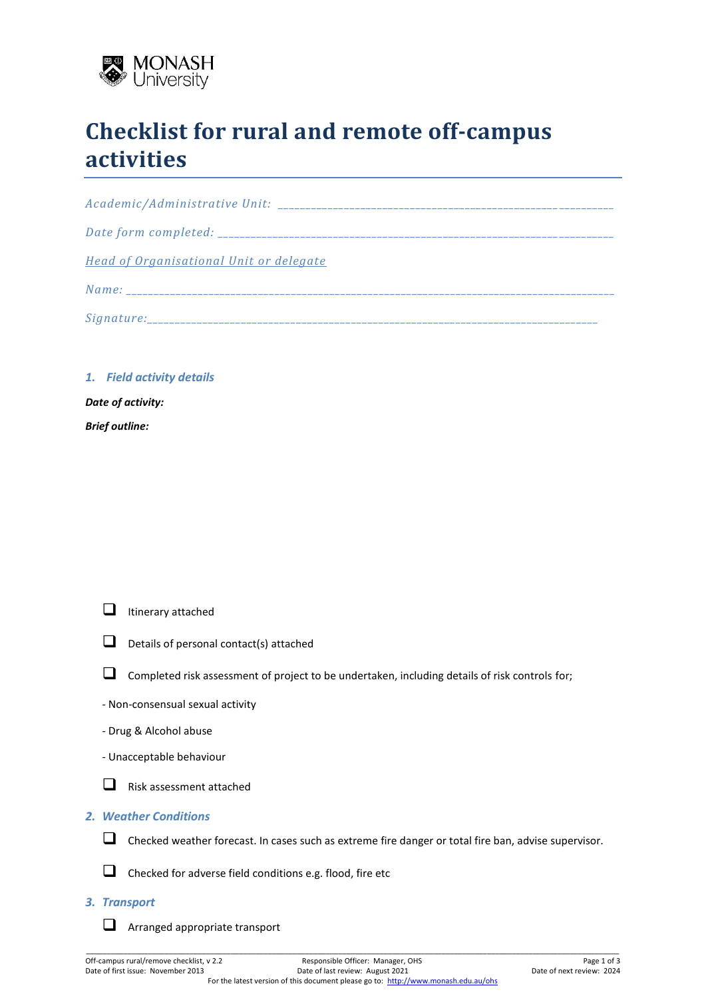

# **Checklist for rural and remote off-campus activities**

| <b>Head of Organisational Unit or delegate</b> |
|------------------------------------------------|
|                                                |
|                                                |

*1. Field activity details*

*Date of activity: Brief outline:*



 $\Box$  Details of personal contact(s) attached



- □ Completed risk assessment of project to be undertaken, including details of risk controls for;
- Non-consensual sexual activity
- Drug & Alcohol abuse
- Unacceptable behaviour



## *2. Weather Conditions*



- ❑ Checked weather forecast. In cases such as extreme fire danger or total fire ban, advise supervisor.
- □ Checked for adverse field conditions e.g. flood, fire etc

### *3. Transport*

❑ Arranged appropriate transport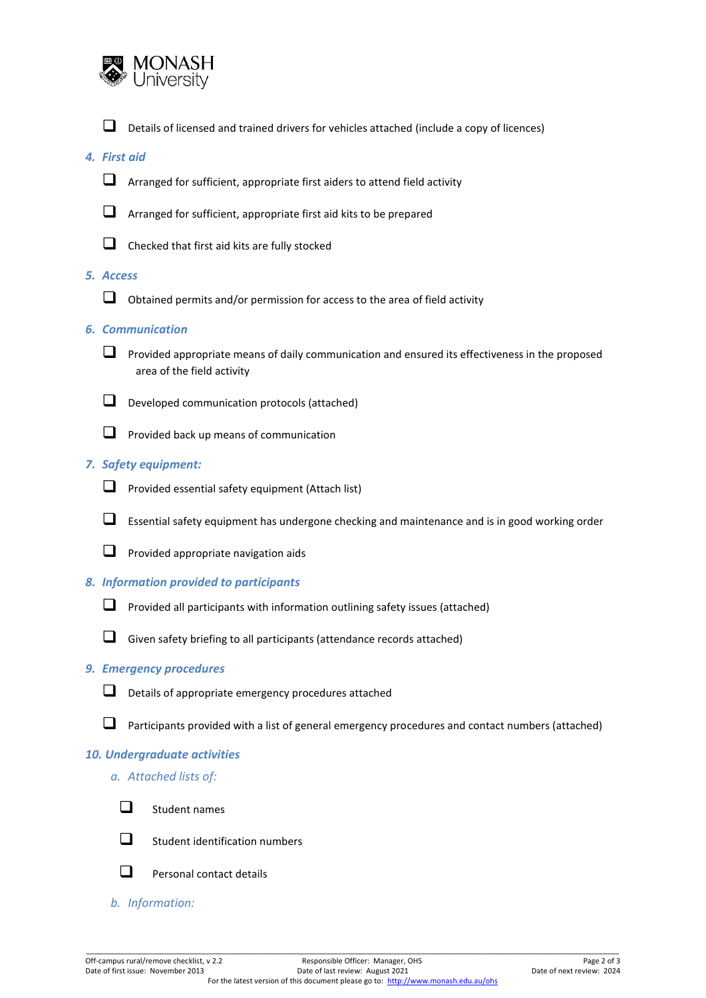

❑ Details of licensed and trained drivers for vehicles attached (include a copy of licences)

## *4. First aid*

❑ Arranged for sufficient, appropriate first aiders to attend field activity



- ❑ Arranged for sufficient, appropriate first aid kits to be prepared
- $\Box$  Checked that first aid kits are fully stocked

### *5. Access*

 $\Box$  Obtained permits and/or permission for access to the area of field activity

#### *6. Communication*

□ Provided appropriate means of daily communication and ensured its effectiveness in the proposed area of the field activity





□ Provided back up means of communication

## *7. Safety equipment:*



- ❑ Provided essential safety equipment (Attach list)
- ❑ Essential safety equipment has undergone checking and maintenance and is in good working order
- □ Provided appropriate navigation aids

#### *8. Information provided to participants*

- $\Box$  Provided all participants with information outlining safety issues (attached)
- ❑ Given safety briefing to all participants (attendance records attached)

#### *9. Emergency procedures*





❑ Participants provided with a list of general emergency procedures and contact numbers (attached)

## *10. Undergraduate activities*

*a. Attached lists of:*



❑ Student names



 $\Box$  Student identification numbers



- $\Box$  Personal contact details
- *b. Information:*